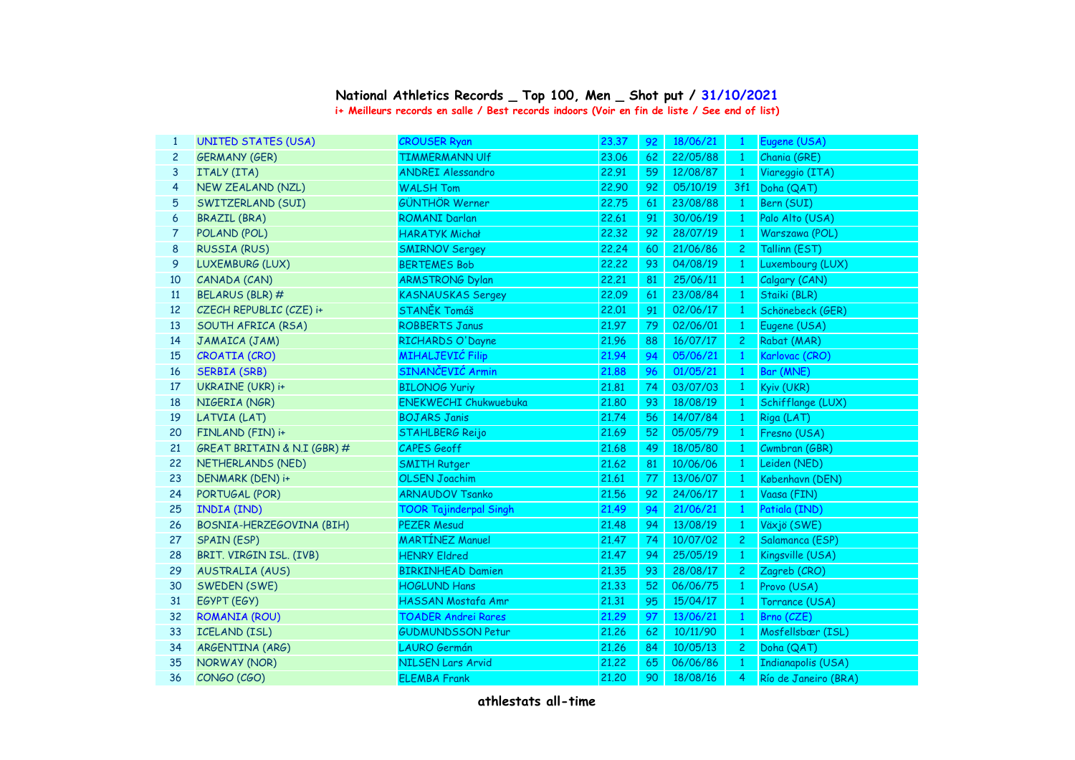## **i+ Meilleurs records en salle / Best records indoors (Voir en fin de liste / See end of list) National Athletics Records \_ Top 100, Men \_ Shot put / 31/10/2021**

| $\mathbf{1}$ | <b>UNITED STATES (USA)</b>  | <b>CROUSER Ryan</b>           | 23.37 | 92 | 18/06/21 |                | Eugene (USA)         |
|--------------|-----------------------------|-------------------------------|-------|----|----------|----------------|----------------------|
| $\mathbf{2}$ | <b>GERMANY (GER)</b>        | <b>TIMMERMANN UIf</b>         | 23.06 | 62 | 22/05/88 | $\mathbf{1}$   | Chania (GRE)         |
| 3            | ITALY (ITA)                 | <b>ANDREI Alessandro</b>      | 22.91 | 59 | 12/08/87 | $\overline{1}$ | Viareggio (ITA)      |
| 4            | NEW ZEALAND (NZL)           | <b>WALSH Tom</b>              | 22.90 | 92 | 05/10/19 | 3f1            | Doha (QAT)           |
| 5            | SWITZERLAND (SUI)           | <b>GÜNTHÖR Werner</b>         | 22.75 | 61 | 23/08/88 | $\overline{1}$ | Bern (SUI)           |
| 6            | <b>BRAZIL (BRA)</b>         | <b>ROMANI Darlan</b>          | 22.61 | 91 | 30/06/19 | -1             | Palo Alto (USA)      |
| 7            | POLAND (POL)                | <b>HARATYK Michał</b>         | 22.32 | 92 | 28/07/19 | $\mathbf{1}$   | Warszawa (POL)       |
| 8            | <b>RUSSIA (RUS)</b>         | <b>SMIRNOV Sergey</b>         | 22,24 | 60 | 21/06/86 | 2 <sup>1</sup> | Tallinn (EST)        |
| 9            | LUXEMBURG (LUX)             | <b>BERTEMES Bob</b>           | 22,22 | 93 | 04/08/19 | $\mathbf{1}$   | Luxembourg (LUX)     |
| 10           | CANADA (CAN)                | <b>ARMSTRONG Dylan</b>        | 22,21 | 81 | 25/06/11 | $\mathbf{1}$   | Calgary (CAN)        |
| 11           | BELARUS (BLR) #             | <b>KASNAUSKAS Sergey</b>      | 22.09 | 61 | 23/08/84 | $\mathbf{1}$   | Staiki (BLR)         |
| 12           | CZECH REPUBLIC (CZE) i+     | STANĚK Tomáš                  | 22.01 | 91 | 02/06/17 | $\mathbf{1}$   | Schönebeck (GER)     |
| 13           | SOUTH AFRICA (RSA)          | <b>ROBBERTS Janus</b>         | 21.97 | 79 | 02/06/01 | $\mathbf{1}$   | Eugene (USA)         |
| 14           | JAMAICA (JAM)               | RICHARDS O'Dayne              | 21.96 | 88 | 16/07/17 | $\mathbf{2}$   | Rabat (MAR)          |
| 15           | CROATIA (CRO)               | <b>MIHALJEVIĆ Filip</b>       | 21.94 | 94 | 05/06/21 | $\mathbf{1}$   | Karlovac (CRO)       |
| 16           | <b>SERBIA (SRB)</b>         | SINANČEVIĆ Armin              | 21,88 | 96 | 01/05/21 | $\mathbf{1}$   | Bar (MNE)            |
| 17           | UKRAINE (UKR) i+            | <b>BILONOG Yuriy</b>          | 21.81 | 74 | 03/07/03 | $\mathbf{1}$   | Kyiv (UKR)           |
| 18           | NIGERIA (NGR)               | <b>ENEKWECHI Chukwuebuka</b>  | 21,80 | 93 | 18/08/19 | $\mathbf{1}$   | Schifflange (LUX)    |
| 19           | LATVIA (LAT)                | <b>BOJARS Janis</b>           | 21.74 | 56 | 14/07/84 | $\mathbf{1}$   | Riga (LAT)           |
| 20           | FINLAND (FIN) i+            | <b>STAHLBERG Reijo</b>        | 21.69 | 52 | 05/05/79 | $\mathbf{1}$   | Fresno (USA)         |
| 21           | GREAT BRITAIN & N.I (GBR) # | <b>CAPES Geoff</b>            | 21.68 | 49 | 18/05/80 | $\mathbf{1}$   | Cwmbran (GBR)        |
| 22           | NETHERLANDS (NED)           | <b>SMITH Rutger</b>           | 21.62 | 81 | 10/06/06 | $\mathbf{1}$   | Leiden (NED)         |
| 23           | <b>DENMARK (DEN) i+</b>     | <b>OLSEN Joachim</b>          | 21.61 | 77 | 13/06/07 | $\mathbf{1}$   | København (DEN)      |
| 24           | PORTUGAL (POR)              | <b>ARNAUDOV Tsanko</b>        | 21.56 | 92 | 24/06/17 | $\overline{1}$ | Vaasa (FIN)          |
| 25           | INDIA (IND)                 | <b>TOOR Tajinderpal Singh</b> | 21.49 | 94 | 21/06/21 | $\mathbf{1}$   | Patiala (IND)        |
| 26           | BOSNIA-HERZEGOVINA (BIH)    | <b>PEZER Mesud</b>            | 21.48 | 94 | 13/08/19 | $\mathbf{1}$   | Växjö (SWE)          |
| 27           | <b>SPAIN (ESP)</b>          | <b>MARTÍNEZ Manuel</b>        | 21.47 | 74 | 10/07/02 | $\mathbf{2}$   | Salamanca (ESP)      |
| 28           | BRIT. VIRGIN ISL. (IVB)     | <b>HENRY Eldred</b>           | 21.47 | 94 | 25/05/19 | $\mathbf{1}$   | Kingsville (USA)     |
| 29           | <b>AUSTRALIA (AUS)</b>      | <b>BIRKINHEAD Damien</b>      | 21.35 | 93 | 28/08/17 | $\mathbf{2}$   | Zagreb (CRO)         |
| 30           | SWEDEN (SWE)                | <b>HOGLUND Hans</b>           | 21.33 | 52 | 06/06/75 | $\mathbf{1}$   | Provo (USA)          |
| 31           | EGYPT (EGY)                 | HASSAN Mostafa Amr            | 21.31 | 95 | 15/04/17 | $\mathbf{1}$   | Torrance (USA)       |
| 32           | ROMANIA (ROU)               | <b>TOADER Andrei Rares</b>    | 21.29 | 97 | 13/06/21 | $\mathbf{1}$   | Brno (CZE)           |
| 33           | <b>ICELAND (ISL)</b>        | <b>GUDMUNDSSON Petur</b>      | 21.26 | 62 | 10/11/90 | $\mathbf{1}$   | Mosfellsbær (ISL)    |
| 34           | ARGENTINA (ARG)             | <b>LAURO Germán</b>           | 21.26 | 84 | 10/05/13 | $2^{\circ}$    | Doha (QAT)           |
| 35           | <b>NORWAY (NOR)</b>         | <b>NILSEN Lars Arvid</b>      | 21,22 | 65 | 06/06/86 | $\mathbf{1}$   | Indianapolis (USA)   |
| 36           | CONGO (CGO)                 | <b>ELEMBA Frank</b>           | 21,20 | 90 | 18/08/16 | 4              | Río de Janeiro (BRA) |
|              |                             |                               |       |    |          |                |                      |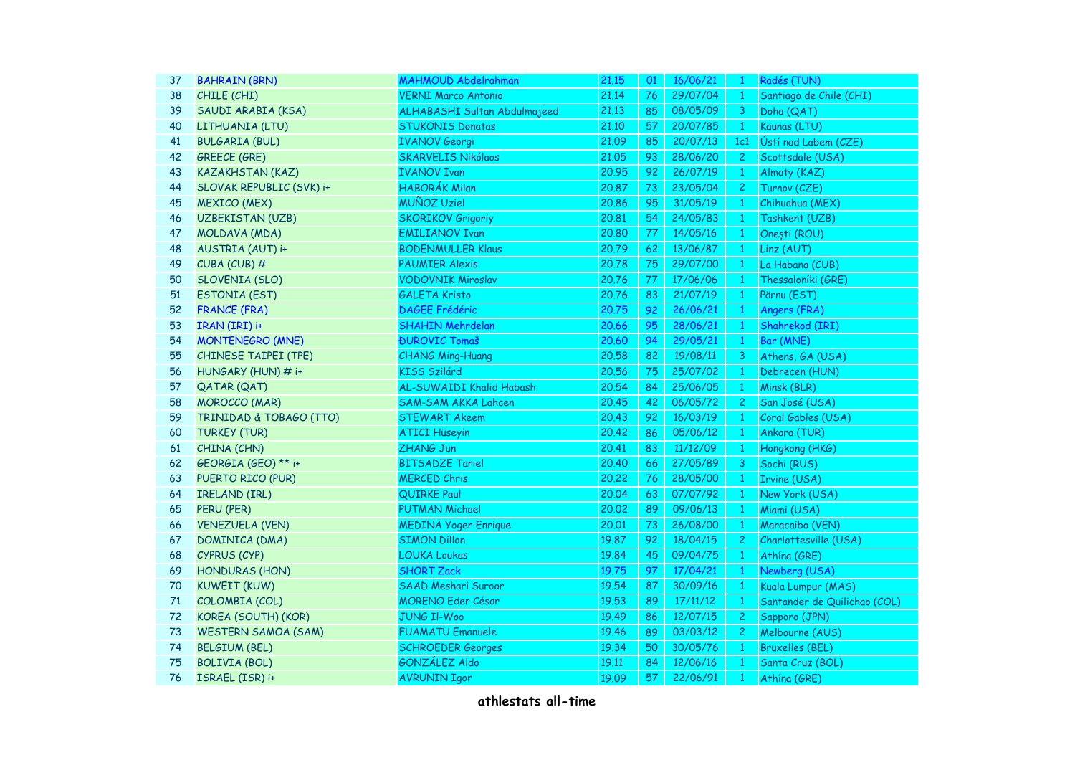| <b>BAHRAIN (BRN)</b>       | <b>MAHMOUD Abdelrahman</b>   | 21.15 | 01 | 16/06/21 | $\mathbf{1}$   | Radés (TUN)                  |
|----------------------------|------------------------------|-------|----|----------|----------------|------------------------------|
| CHILE (CHI)                | <b>VERNI Marco Antonio</b>   | 21.14 | 76 | 29/07/04 | $\mathbf{1}$   | Santiago de Chile (CHI)      |
| SAUDI ARABIA (KSA)         | ALHABASHI Sultan Abdulmajeed | 21.13 | 85 | 08/05/09 | 3              | Doha (QAT)                   |
| LITHUANIA (LTU)            | <b>STUKONIS Donatas</b>      | 21.10 | 57 | 20/07/85 | $\mathbf{1}$   | Kaunas (LTU)                 |
| <b>BULGARIA (BUL)</b>      | <b>IVANOV Georgi</b>         | 21.09 | 85 | 20/07/13 | 1c1            | Ústí nad Labem (CZE)         |
| <b>GREECE (GRE)</b>        | <b>SKARVÉLIS Nikólaos</b>    | 21.05 | 93 | 28/06/20 | $\overline{c}$ | Scottsdale (USA)             |
| <b>KAZAKHSTAN (KAZ)</b>    | <b>IVANOV Ivan</b>           | 20.95 | 92 | 26/07/19 | $\mathbf{1}$   | Almaty (KAZ)                 |
| SLOVAK REPUBLIC (SVK) i+   | <b>HABORÁK Milan</b>         | 20.87 | 73 | 23/05/04 | $\overline{c}$ | Turnov (CZE)                 |
| <b>MEXICO (MEX)</b>        | <b>MUÑOZ Uziel</b>           | 20.86 | 95 | 31/05/19 | $\mathbf{1}$   | Chihuahua (MEX)              |
| <b>UZBEKISTAN (UZB)</b>    | <b>SKORIKOV Grigoriy</b>     | 20.81 | 54 | 24/05/83 | $\mathbf{1}$   | Tashkent (UZB)               |
| MOLDAVA (MDA)              | <b>EMILIANOV Ivan</b>        | 20,80 | 77 | 14/05/16 | $\mathbf{1}$   | Onești (ROU)                 |
| AUSTRIA (AUT) i+           | <b>BODENMULLER Klaus</b>     | 20.79 | 62 | 13/06/87 | $\mathbf{1}$   | Linz (AUT)                   |
| CUBA (CUB) #               | <b>PAUMIER Alexis</b>        | 20.78 | 75 | 29/07/00 | $\mathbf{1}$   | La Habana (CUB)              |
| <b>SLOVENIA (SLO)</b>      | <b>VODOVNIK Miroslav</b>     | 20.76 | 77 | 17/06/06 | 1              | Thessaloníki (GRE)           |
| <b>ESTONIA (EST)</b>       | <b>GALETA Kristo</b>         | 20.76 | 83 | 21/07/19 | $\mathbf{1}$   | Pärnu (EST)                  |
| <b>FRANCE (FRA)</b>        | <b>DAGEE Frédéric</b>        | 20.75 | 92 | 26/06/21 | $\mathbf{1}$   | Angers (FRA)                 |
| IRAN (IRI) i+              | <b>SHAHIN Mehrdelan</b>      | 20.66 | 95 | 28/06/21 | $\mathbf{1}$   | Shahrekod (IRI)              |
| <b>MONTENEGRO (MNE)</b>    | <b>ĐUROVIC Tomaš</b>         | 20.60 | 94 | 29/05/21 | $\mathbf{1}$   | Bar (MNE)                    |
| CHINESE TAIPEI (TPE)       | <b>CHANG Ming-Huang</b>      | 20.58 | 82 | 19/08/11 | 3              | Athens, GA (USA)             |
| HUNGARY (HUN) # i+         | <b>KISS Szilárd</b>          | 20.56 | 75 | 25/07/02 | $\mathbf{1}$   | Debrecen (HUN)               |
| <b>QATAR (QAT)</b>         | AL-SUWAIDI Khalid Habash     | 20.54 | 84 | 25/06/05 | $\mathbf{1}$   | Minsk (BLR)                  |
| <b>MOROCCO (MAR)</b>       | <b>SAM-SAM AKKA Lahcen</b>   | 20.45 | 42 | 06/05/72 | $\overline{c}$ | San José (USA)               |
| TRINIDAD & TOBAGO (TTO)    | <b>STEWART Akeem</b>         | 20.43 | 92 | 16/03/19 | 1              | Coral Gables (USA)           |
| <b>TURKEY (TUR)</b>        | <b>ATICI Hüseyin</b>         | 20.42 | 86 | 05/06/12 | $\mathbf{1}$   | Ankara (TUR)                 |
| CHINA (CHN)                | ZHANG Jun                    | 20.41 | 83 | 11/12/09 | $\mathbf{1}$   | Hongkong (HKG)               |
| GEORGIA (GEO) ** i+        | <b>BITSADZE Tariel</b>       | 20.40 | 66 | 27/05/89 | 3              | Sochi (RUS)                  |
| PUERTO RICO (PUR)          | <b>MERCED Chris</b>          | 20.22 | 76 | 28/05/00 | $\mathbf{1}$   | Irvine (USA)                 |
| IRELAND (IRL)              | <b>QUIRKE Paul</b>           | 20.04 | 63 | 07/07/92 | 1              | New York (USA)               |
| PERU (PER)                 | <b>PUTMAN Michael</b>        | 20.02 | 89 | 09/06/13 | 1              | Miami (USA)                  |
| <b>VENEZUELA (VEN)</b>     | <b>MEDINA Yoger Enrique</b>  | 20.01 | 73 | 26/08/00 | $\mathbf{1}$   | Maracaibo (VEN)              |
| DOMINICA (DMA)             | <b>SIMON Dillon</b>          | 19.87 | 92 | 18/04/15 | $\mathbf{2}$   | Charlottesville (USA)        |
| CYPRUS (CYP)               | <b>LOUKA Loukas</b>          | 19.84 | 45 | 09/04/75 | $\mathbf{1}$   | Athína (GRE)                 |
| <b>HONDURAS (HON)</b>      | <b>SHORT Zack</b>            | 19.75 | 97 | 17/04/21 | $\mathbf{1}$   | Newberg (USA)                |
| <b>KUWEIT (KUW)</b>        | <b>SAAD Meshari Suroor</b>   | 19.54 | 87 | 30/09/16 | $1 -$          | Kuala Lumpur (MAS)           |
| COLOMBIA (COL)             | <b>MORENO Eder César</b>     | 19.53 | 89 | 17/11/12 | $1 -$          | Santander de Quilichao (COL) |
| KOREA (SOUTH) (KOR)        | <b>JUNG Il-Woo</b>           | 19.49 | 86 | 12/07/15 | $\mathbf{2}$   | Sapporo (JPN)                |
| <b>WESTERN SAMOA (SAM)</b> | <b>FUAMATU Emanuele</b>      | 19.46 | 89 | 03/03/12 | 2              | Melbourne (AUS)              |
| <b>BELGIUM (BEL)</b>       | <b>SCHROEDER Georges</b>     | 19.34 | 50 | 30/05/76 | $\mathbf{1}$   | <b>Bruxelles (BEL)</b>       |
| <b>BOLIVIA (BOL)</b>       | <b>GONZÁLEZ Aldo</b>         | 19.11 | 84 | 12/06/16 | $\mathbf{1}$   | Santa Cruz (BOL)             |
| ISRAEL (ISR) i+            | <b>AVRUNIN Igor</b>          | 19.09 | 57 | 22/06/91 | $\mathbf{1}$   | Athína (GRE)                 |
|                            |                              |       |    |          |                |                              |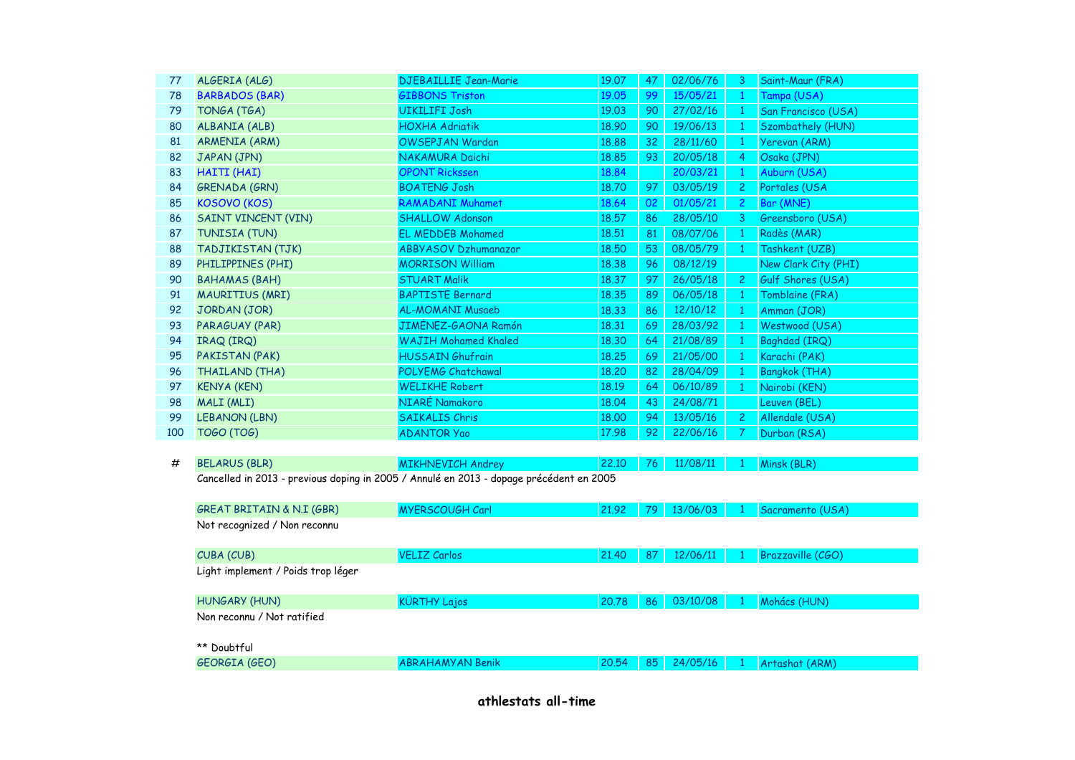| 77  | ALGERIA (ALG)                                                                           | <b>DJEBAILLIE Jean-Marie</b> | 19.07 | 47 | 02/06/76 | 3              | Saint-Maur (FRA)     |  |
|-----|-----------------------------------------------------------------------------------------|------------------------------|-------|----|----------|----------------|----------------------|--|
| 78  | <b>BARBADOS (BAR)</b>                                                                   | <b>GIBBONS Triston</b>       | 19.05 | 99 | 15/05/21 | $\mathbf{1}$   | Tampa (USA)          |  |
| 79  | TONGA (TGA)                                                                             | <b>UIKILIFI Josh</b>         | 19.03 | 90 | 27/02/16 | $\mathbf{1}$   | San Francisco (USA)  |  |
| 80  | ALBANIA (ALB)                                                                           | <b>HOXHA Adriatik</b>        | 18.90 | 90 | 19/06/13 | $\mathbf{1}$   | Szombathely (HUN)    |  |
| 81  | <b>ARMENIA (ARM)</b>                                                                    | OWSEPJAN Wardan              | 18.88 | 32 | 28/11/60 | $\mathbf{1}$   | Yerevan (ARM)        |  |
| 82  | JAPAN (JPN)                                                                             | NAKAMURA Daichi              | 18.85 | 93 | 20/05/18 | 4              | Osaka (JPN)          |  |
| 83  | HAITI (HAI)                                                                             | <b>OPONT Rickssen</b>        | 18.84 |    | 20/03/21 | $\mathbf{1}$   | Auburn (USA)         |  |
| 84  | <b>GRENADA (GRN)</b>                                                                    | <b>BOATENG Josh</b>          | 18.70 | 97 | 03/05/19 | $\overline{2}$ | Portales (USA        |  |
| 85  | <b>KOSOVO (KOS)</b>                                                                     | <b>RAMADANI Muhamet</b>      | 18.64 | 02 | 01/05/21 | $\overline{2}$ | Bar (MNE)            |  |
| 86  | <b>SAINT VINCENT (VIN)</b>                                                              | <b>SHALLOW Adonson</b>       | 18.57 | 86 | 28/05/10 | 3              | Greensboro (USA)     |  |
| 87  | TUNISIA (TUN)                                                                           | <b>EL MEDDEB Mohamed</b>     | 18.51 | 81 | 08/07/06 | $\mathbf{1}$   | Radès (MAR)          |  |
| 88  | TADJIKISTAN (TJK)                                                                       | <b>ABBYASOV Dzhumanazar</b>  | 18.50 | 53 | 08/05/79 | $\mathbf{1}$   | Tashkent (UZB)       |  |
| 89  | PHILIPPINES (PHI)                                                                       | <b>MORRISON William</b>      | 18.38 | 96 | 08/12/19 |                | New Clark City (PHI) |  |
| 90  | <b>BAHAMAS (BAH)</b>                                                                    | <b>STUART Malik</b>          | 18.37 | 97 | 26/05/18 | $\mathbf{2}$   | Gulf Shores (USA)    |  |
| 91  | <b>MAURITIUS (MRI)</b>                                                                  | <b>BAPTISTE Bernard</b>      | 18.35 | 89 | 06/05/18 | $\mathbf{1}$   | Tomblaine (FRA)      |  |
| 92  | JORDAN (JOR)                                                                            | <b>AL-MOMANI Musaeb</b>      | 18.33 | 86 | 12/10/12 | $\mathbf{1}$   | Amman (JOR)          |  |
| 93  | PARAGUAY (PAR)                                                                          | JIMÉNEZ-GAONA Ramón          | 18.31 | 69 | 28/03/92 | $\mathbf{1}$   | Westwood (USA)       |  |
| 94  | IRAQ (IRQ)                                                                              | <b>WAJIH Mohamed Khaled</b>  | 18.30 | 64 | 21/08/89 | $\mathbf{1}$   | Baghdad (IRQ)        |  |
| 95  | PAKISTAN (PAK)                                                                          | <b>HUSSAIN Ghufrain</b>      | 18.25 | 69 | 21/05/00 | $\mathbf{1}$   | Karachi (PAK)        |  |
| 96  | <b>THAILAND (THA)</b>                                                                   | POLYEMG Chatchawal           | 18,20 | 82 | 28/04/09 | $\mathbf{1}$   | <b>Bangkok (THA)</b> |  |
| 97  | <b>KENYA (KEN)</b>                                                                      | <b>WELIKHE Robert</b>        | 18.19 | 64 | 06/10/89 | $\mathbf{1}$   | Nairobi (KEN)        |  |
| 98  | MALI (MLI)                                                                              | NIARÉ Namakoro               | 18.04 | 43 | 24/08/71 |                | Leuven (BEL)         |  |
| 99  | <b>LEBANON (LBN)</b>                                                                    | <b>SAIKALIS Chris</b>        | 18.00 | 94 | 13/05/16 | $\overline{c}$ | Allendale (USA)      |  |
| 100 | <b>TOGO (TOG)</b>                                                                       | <b>ADANTOR Yao</b>           | 17.98 | 92 | 22/06/16 | 7              | Durban (RSA)         |  |
|     |                                                                                         |                              |       |    |          |                |                      |  |
| #   | <b>BELARUS (BLR)</b>                                                                    | <b>MIKHNEVICH Andrey</b>     | 22.10 | 76 | 11/08/11 |                | Minsk (BLR)          |  |
|     | Cancelled in 2013 - previous doping in 2005 / Annulé en 2013 - dopage précédent en 2005 |                              |       |    |          |                |                      |  |
|     |                                                                                         |                              |       |    |          |                |                      |  |
|     | <b>GREAT BRITAIN &amp; N.I (GBR)</b>                                                    | MYERSCOUGH Carl              | 21.92 | 79 | 13/06/03 |                | Sacramento (USA)     |  |
|     | Not recognized / Non reconnu                                                            |                              |       |    |          |                |                      |  |
|     |                                                                                         |                              |       |    |          |                |                      |  |
|     | CUBA (CUB)                                                                              | <b>VELIZ Carlos</b>          | 21.40 | 87 | 12/06/11 |                | Brazzaville (CGO)    |  |
|     | Light implement / Poids trop léger                                                      |                              |       |    |          |                |                      |  |
|     | HUNGARY (HUN)                                                                           | <b>KÜRTHY Lajos</b>          | 20.78 | 86 | 03/10/08 | $\mathbf{1}$   | Mohács (HUN)         |  |
|     | Non reconnu / Not ratified                                                              |                              |       |    |          |                |                      |  |
|     | ** Doubtful                                                                             |                              |       |    |          |                |                      |  |
|     | <b>GEORGIA (GEO)</b>                                                                    | <b>ABRAHAMYAN Benik</b>      | 20.54 | 85 | 24/05/16 |                | Artashat (ARM)       |  |